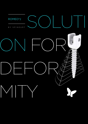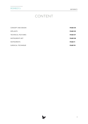# CONTENT

| CONCEPT AND DESIGN     | PAGE 04        |
|------------------------|----------------|
| <b>IMPLANTS</b>        | <b>PAGE 05</b> |
| TECHNICAL FEATURES     | PAGE 07        |
| <b>INSTRUMENTS SET</b> | PAGE 08        |
| <b>INSTRUMENTS</b>     | <b>PAGE 11</b> |
| SURGICAL TECHNIQUE     | <b>PAGE 18</b> |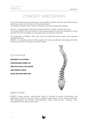## CONCEPT AND DESIGN

Since 2005 SpineArt has been following its motto: quality, innovation, simplicity, by developing highly performant systems for the treatment of spinal pathologies.

The ROMEO®2 posterior fixation system incorporates smart technologies and simplicity.

SpineArt is innovating again offering an expanded platform to address complex spine cases. The unique ROMEO®2 25D screw features a semi-polyaxial design, providing the versatility of a classic polyaxial screw and the rigidity of a monoaxial screws for reduction maneuvers.

The combination of ROMEO®2 25D screw with the powerful QR reducer allows multi-segmental vertebral derotation.

ROMEO<sup>®2</sup> is a complete posterior fixation system with unique and efficient technologies that offers alternative solutions to the surgeons and their patients.

AT A GLANCE

**DEFORMITY PLATFORM STREAMLINED SCREW TIP SEMI-POLYAXIAL 25D SCREW LOW PROFILE HEAD** 

**QUICK RELEASE REDUCER**



### INDICATIONS

ROMEO®2 lumbar posterior osteosynthesis system is intended to provide immobilization and stabilization of thoraco-lumbo-sacral spine in skeletally mature patients for the following indications: DDD (degenerative disc disease), spondylolisthesis, trauma, spinal stenosis, curvatures, tumor, pseudoarthrosis and failed previous fusion.

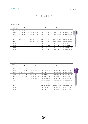#### Monoaxial Screws

| LENGTH/<br><b>DIAMETER</b> | Ø4             | Ø5                                                             | Ø6                                           | Ø7                                               | Ø8                    |  |
|----------------------------|----------------|----------------------------------------------------------------|----------------------------------------------|--------------------------------------------------|-----------------------|--|
| L25                        | FLL-MS 04 25-S |                                                                |                                              |                                                  |                       |  |
| L30                        |                | ELL-MS 04 30-S  ELL-MS 05 30-S  ELL-MS 06 30-S  ELL-MS 07 30-S |                                              |                                                  | <b>ELL-MS 08 30-S</b> |  |
| L35                        | FLL-MS 04 35-S | FLL-MS 05 35-S                                                 | FLL-MS 06 35-S                               | <b>ELL-MS 07 35-S</b>                            | ELL-MS 08 35-S        |  |
| L40                        |                | ELL-MS 04 40-S  ELL-MS 05 40-S  ELL-MS 06 40-S  ELL-MS 07 40-S |                                              |                                                  | ELL-MS 08 40-S        |  |
| L45                        |                | ELL-MS 04 45-S  ELL-MS 05 45-S  ELL-MS 06 45-S  ELL-MS 07 45-S |                                              |                                                  | FLL-MS 08 45-S        |  |
| L <sub>50</sub>            |                |                                                                | FILEMS 05 50-S FILEMS 06 50-S FILEMS 07 50-S |                                                  | FIL-MS 08 50-S        |  |
| L55                        |                |                                                                |                                              | ELL-MS 06 55-S    ELL-MS 07 55-S                 | FLL-MS 08 55-S        |  |
| <b>L60</b>                 |                |                                                                |                                              | ELL-MS 06 60-S ELL-MS 07 60-S                    | <b>ELL-MS 08 60-S</b> |  |
| L70                        |                |                                                                |                                              | ELL-MS 06 70-S ELL-MS 07 70-S                    | ELL-MS 08 70-S        |  |
| <b>L80</b>                 |                |                                                                |                                              | ELL-MS 06 80-S   ELL-MS 07 80-S   ELL-MS 08 80-S |                       |  |

#### Polyaxial Screws

| LENGTH /<br><b>DIAMETER</b> | Ø4             | Ø5             | Ø6             | Ø7                            | Ø8                    |  |
|-----------------------------|----------------|----------------|----------------|-------------------------------|-----------------------|--|
| L25                         | ELL-PS 04 25-S |                |                |                               |                       |  |
| L30                         | ELL-PS 04 30-S | ELL-PS 05 30-S | ELL-PS 06 30-S | ELL-PS 07 30-S                | ELL-PS 08 30-S        |  |
| L35                         | ELL-PS 04 35-S | ELL-PS 05 35-S | ELL-PS 06 35-S | ELL-PS 07 35-S                | ELL-PS 08 35-S        |  |
| L40                         | ELL-PS 04 40-S | ELL-PS 05 40-S | ELL-PS 06 40-S | ELL-PS 07 40-S                | ELL-PS 08 40-S        |  |
| L45                         | ELL-PS 04 45-S | ELL-PS 05 45-S | ELL-PS 06 45-S | ELL-PS 07 45-S                | <b>ELL-PS 08 45-S</b> |  |
| L50                         |                | ELL-PS 05 50-S | ELL-PS 06 50-S | ELL-PS 07 50-S                | ELL-PS 08 50-S        |  |
| L55                         |                |                | ELL-PS 06 55-S | ELL-PS 07 55-S                | ELL-PS 08 55-S        |  |
| L60                         |                |                | ELL-PS 06 60-S | ELL-PS 07 60-S                | ELL-PS 08 60-S        |  |
| <b>L70</b>                  |                |                | ELL-PS 06 70-S | ELL-PS 07 70-S                | ELL-PS 08 70-S        |  |
| <b>L80</b>                  |                |                | ELL-PS 06 80-S | ELL-PS 07 80-S                | ELL-PS 08 80-S        |  |
| <b>L90</b>                  |                |                |                | ELL-PS 06 90-S ELL-PS 07 90-S | ELL-PS 08 90-S        |  |
|                             |                |                |                |                               |                       |  |

 $\blacktriangleright$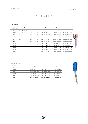#### 25D Screws

| LENGTH/<br><b>DIAMETER</b> | Ø4             | Ø5             | Ø6                                                 | Ø7                                    | Ø8                    |  |
|----------------------------|----------------|----------------|----------------------------------------------------|---------------------------------------|-----------------------|--|
| L25                        | ELL-DS 04 25-S |                |                                                    |                                       |                       |  |
| L30                        | ELL-DS 04 30-S | ELL-DS 05 30-S | ELL-DS 06 30-S                                     | ELL-DS 07 30-S                        | ELL-DS 08 30-S        |  |
| L <sub>35</sub>            | ELL-DS 04 35-S | ELL-DS 05 35-S | ELL-DS 06 35-S                                     | <b>ELL-DS 07 35-S</b>                 | <b>ELL-DS 08 35-S</b> |  |
| L40                        | ELL-DS 04 40-S | ELL-DS 05 40-S | ELL-DS 06 40-S                                     | ELL-DS 07 40-S                        | ELL-DS 08 40-S        |  |
| L45                        | ELL-DS 04 45-S | ELL-DS 05 45-S | ELL-DS 06 45-S                                     | ELL-DS 07 45-S                        | ELL-DS 08 45-S        |  |
| L50                        |                |                | ELL-DS 05 50-S    ELL-DS 06 50-S    ELL-DS 07 50-S |                                       | <b>ELL-DS 08 50-S</b> |  |
| L55                        |                |                |                                                    | ELL-DS 06 55-S    ELL-DS 07 55-S      | <b>ELL-DS 08 55-S</b> |  |
| L60                        |                |                |                                                    | ELL-DS 06 60-S   ELL-DS 07 60-S       | ELL-DS 08 60-S        |  |
| L70                        |                |                |                                                    | $F11 - DS$ 06 70-S $F11 - DS$ 07 70-S | ELL-DS 08 70-S        |  |
| L80                        |                |                |                                                    | ELL-DS 06 80-S   ELL-DS 07 80-S       | <b>ELL-DS 08 80-S</b> |  |
| L90                        |                |                |                                                    | ELL-DS 06 90-S    ELL-DS 07 90-S      | ELL-DS 08 90-S        |  |

#### Reduction Screws

| LENGTH/<br><b>DIAMETER</b> | Ø5 | Ø6                                                 | Μ. |
|----------------------------|----|----------------------------------------------------|----|
| 130                        |    | ELL-SS 05 30-S    ELL-SS 06 30-S    ELL-SS 07 30-S |    |
| l 35                       |    | ELL-SS 05 35-S    ELL-SS 06 35-S    ELL-SS 07 35-S |    |
| $\overline{140}$           |    | ELL-SS 05 40-S    ELL-SS 06 40-S    ELL-SS 07 40-S |    |
| $\overline{1}$ 45          |    | ELL-SS 05 45-S    ELL-SS 06 45-S    ELL-SS 07 45-S |    |
| 1.50                       |    | ELL-SS 05 50-S    ELL-SS 06 50-S    ELL-SS 07 50-S |    |
|                            |    |                                                    |    |

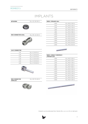| <b>SETSCREW</b>            | ELL-SC 00 00-S |
|----------------------------|----------------|
|                            |                |
| <b>ROD CONNECTOR AXIAL</b> | ELL-RC AX 00-S |
|                            |                |

| <b>RODS / STRAIGHT ø5,4</b> |                      |
|-----------------------------|----------------------|
| L100                        | FLI-RD 21 00-S       |
| l 120                       | FLI-RD 21 20-S       |
| l 140                       | FLL-RD 21 40-S       |
| L160                        | ELL-RD 21 60-S       |
| <b>180</b>                  | FLL-RD 2180-S        |
| 1.200                       | ELL-RD 22 00-S       |
| l 220                       | $F11 - RD 22 20 - S$ |
| l 240                       | $F11 - RD 22 40 - S$ |
| 1350                        | $F11 - RD$ 23 50-S   |
| 1500                        | FLL-RD 25 00-S       |
| L550                        | FLL-RD 25 50-S       |
|                             |                      |

| <b>ILIAC CONNECTOR</b> |                |
|------------------------|----------------|
| l 15                   | ELL-IC 00 15-S |
| l 20                   | ELL-IC 00 20-S |
| I 30                   | ELL-IC 00 30-S |
| 140                    | ELL-IC 00 40-S |
| l 50                   | ELL-IC 00 50-S |
| ၊ ဂေ                   | ELL-IC 00 60-S |
|                        |                |



#### **RODS / COBALT CHROMIUM / STRAIGHT ø5,4**

| , , , , , , , , , , , , , |                       |
|---------------------------|-----------------------|
| 1100                      | FLL-RD 11 00-S        |
| 1120                      | FLI-RD 11 20-S        |
| l 140                     | <b>ELL-RD 11 40-S</b> |
| 1160                      | FLL-RD 1160-S         |
| L <sub>180</sub>          | <b>ELL-RD 11 80-S</b> |
| 1200                      | FLL-RD 12 00-S        |
| 1220                      | FLL-RD 12 20-S        |
| 1240                      | FLI-RD 12 40-S        |
| 1.350                     | ELL.RD 13 50-S        |
| L500                      | ELL-RD 15 00-S        |
| 1.550                     | FLL-RD 15 50-S        |



| <b>ROD CONNECTOR</b><br>PΔ | ורה | $- - -$<br>~ ~<br>$\overline{\phantom{a}}$<br>$-$<br>-- |
|----------------------------|-----|---------------------------------------------------------|
| <b>PARALLEL</b>            |     | $\sim$<br>----                                          |





Implants can be delivered Non Sterile (ELL-xx xx xx-N) on demand.

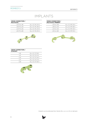| <b>CROSS CONNECTORS /</b><br><b>MULTIAXIAL</b> |                |
|------------------------------------------------|----------------|
| 133 TO 136                                     | ELL-CC MU 33-S |
| 1 36 TO 1 43                                   | FLI-CC MU 36-S |
| L43 TO L55                                     | ELL-CC MU 43-S |
| 155 TO 180                                     | FLI-CC MU 55-S |

#### **CROSS CONNECTORS / MULTIAXIAL PREBENT**

| 133 to 136  | ELL-CC MP 33-S     |
|-------------|--------------------|
| l 36 to L43 | FLI-CC MP 36-S     |
| 143 to 155  | $F11 - CC MP 43-S$ |
| 155 to 180  | FLI-CC MP 55-S     |





| <b>CROSS CONNECTORS /</b><br><b>STRAIGHT</b> |                    |
|----------------------------------------------|--------------------|
| l 18                                         | FLI-CC ST 18-S     |
| l 21                                         | $F11 - CC$ ST 21-S |
| l 24                                         | FLL-CC ST 24-S     |
| l 27                                         | FLI-CC ST 27-S     |
| 1.30                                         | FLL-CC ST 30-S     |
|                                              |                    |



Implants can be delivered Non Sterile (ELL-xx xx xx-N) on demand.

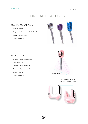## TECHNICAL FEATURES

### STANDARD SCREWS

- Streamlined tip
- Polyaxial & Monoaxial & Reduction Screws
- Low profile implants
- Sterile packaged



### 25D SCREWS

- Unique implant head design
- Semi polyaxiality
- Coronal & axial correction
- Clear marking identification
- Streamlined tip
- Sterile packaged



Clear LASER marking to identify the locked area

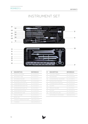### ROMEO®2 DEFORMITY

## INSTRUMENT SET



}f

| #         | <b>DESCRIPTION</b>          | <b>REFERENCE</b> |
|-----------|-----------------------------|------------------|
| $\bigcap$ | PEDICLE SOUNDER             | FLL-IN 01 02-N   |
| 02        | <b>SETSCREW TUBE</b>        | ELL-IN 0115-N    |
| 03        | <b>SETSCREW HOLDER</b>      | FLI-IN 0110-N    |
| 04        | <b>SETSCREW TIGHTENER</b>   | ELL-IN 04 06-N   |
| 05        | <b>SCREWDRIVER SHAFT PS</b> | ELL-IN 01 03-N   |
| 06        | SCREWDRIVER SHAFT MS        | ELL-IN 01 20-N   |
| 07        | <b>SCREWDRIVER SHAFT SS</b> | ELL-IN 0116-N    |
| 08        | <b>SCREWDRIVER SLEEVE</b>   | ELL-IN 20 03-N   |
| 09        | <b>SCREWDRIVER TUBE</b>     | ELL-IN 21 03-N   |
| 10        | PEDICLE PROBE               | FLL-IN 01 22-N   |
| 11        | BONE AWI                    | ELL-IN 02 01-N   |
| 12        | STRAIGHT HANDLE RATCHET     | HAN-SI RA ST-N   |
| 13        | T-HANDI F                   | HAN-SI MD TE-N   |

| #   | <b>DESCRIPTION</b>           | REFERENCE      |
|-----|------------------------------|----------------|
| 14  | <b>COUNTER TORQUE</b>        | ELL-IN 01 11-N |
| 15  | ROD BENDER                   | ELL-IN 00 09-N |
| 16  | DYNAMOMETRIC TIGHTENER       | ELL-IN 03 06-N |
| 17  | <b>DISTRACTION FORCEPS</b>   | ELL-IN 00 07-N |
| 18  | <b>COMPRESSION FORCEPS</b>   | ELL-IN 00 08-N |
| 19  | <b>CALIPER</b>               | ELL-IN 00 12-N |
| 20  | <b>IMPLANT HOLDER</b>        | ELL-IN 01 04-N |
| -21 | <b>ROCKER</b>                | ELL-IN 00 05-N |
| 22  | ROD TEMPLATE L250            | ELL-IN 00 28-N |
|     | <b>INSTRUMENTS CONTAINER</b> | ROM-BX 10 01-N |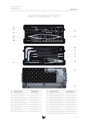### ROMEO®2 DEFORMITY

## INSTRUMENT SET



Τ.

| #  | <b>DESCRIPTION</b>         | <b>REFERENCE</b> |
|----|----------------------------|------------------|
|    | I AMINA PREPARER           | ELL-IN 00 30-N   |
| 02 | <b>HOOK PUSHER</b>         | ELL-IN 00 32-N   |
| 03 | PEDICLE PROBE SMALL        | ELL-IN 01 23-N   |
| 04 | PEDICLE PREPARER           | ELL-IN 00 29-N   |
| 05 | <b>HOOK HOLDER LATERAL</b> | ELL-IN 01 31-N   |
| 06 | <b>HOOK HOLDER</b>         | ELL-IN 00 31-N   |
|    | MARKER I FFT               | ELL-IN 00 25-N   |
|    | <b>MARKER RIGHT</b>        | ELL-IN 00 24-N   |

| #         | <b>DESCRIPTION</b>        | <b>REFERENCE</b> |
|-----------|---------------------------|------------------|
|           | CORONAL BENDER LEFT       | ELL-IN 00 27-N   |
| $1^\circ$ | CORONAL BENDER RIGHT      | ELL-IN 01 27-N   |
| 11        | SAGITTAL BENDER LEFT      | ELL-IN 00 26-N   |
| 12        | SAGITTAL BENDER RIGHT     | ELL-IN 01 26-N   |
| 13        | <b>HEXAGONAL WRENCH</b>   | ELL-IN 00 33-N   |
| 14        | <b>DEROTATION FORCEPS</b> | ELL-IN 01 18-N   |
| 15        | <b>ROD PERSUADER</b>      | ELL-IN 01 19-N   |
| 16        | ROD TEMPLATE L500         | ELL-IN 01 28-N   |
|           | INSTRUMENTS CONTAINER     | ROM-BX 40 01-N   |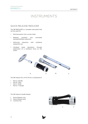### QUICK RELEASE REDUCER

The QR REDUCER is a versatile instrument that can be used for:

- Rod persuasion into a screw head.
- Bilateral, powerful and controlled spondylolisthesis reduction.
- Deformity reduction, with multilevel sequential use.
- Vertebral body derotation through application of a cantilever force on the screw.



The QR reducer ELL-IN 10 34-N is composed of:

- Part A: Handle
- Part B: Tube
- Part C: Shaft
- Part D: T Handle

The QR reducer handle design:

- 1. Quick Release ring
- 2. Quick Release door
- 3. Locking ring



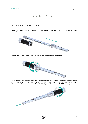### QUICK RELEASE REDUCER

1- Insert the shaft into the reducer tube. The extremity of the shaft has to be slightly squeezed to ease the insertion.



2- Connect the handle to the tube. Firmly screw the locking ring of the handle.



3- Push the shaft into the handle and turn the handle clockwise to engage the thread. The engagement of the tube thread into the handle must be carefully performed. Do NOT force. The assembling procedure is finished when the position marker of the shaft is aligned with the «start» LASER marking of the tube.

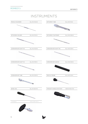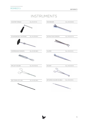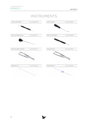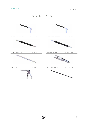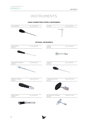### **CROSS CONNECTORS SYSTEM 2 INSTRUMENTS**

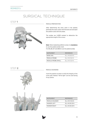### STEP **1**



#### PEDICLE PREPARATION

PEDICLE SOUNDING

X-ray control.

After determining the entry point in the pedicle, perforate the outer cortex with the bone awl and open the pedicle canal with the probe.

The probes are LASER marked to determine the appropriate length of the screws.

**Note**: When implanting a Ø4mm screw, it is **mandatory** to use the pedicle probe small.

For Ø5, Ø6, Ø7 and Ø8mm use the pedicle probe.

| <b>INSTRUMENT</b>   | <b>REFERENCE</b>     |
|---------------------|----------------------|
| <b>BONE AWL</b>     | FLI-IN 02 01-N       |
| PEDICLE PROBE       | $F11 - IN 01 22 - N$ |
| PEDICLE PROBE SMALL | $F11 - IN 01 23 - N$ |

Insert the pedicle sounder to verify the integrity of the screw path. Markers "left & right" can be used during

### STEP **2**



| <b>INSTRUMENT</b> | <b>REFERENCE</b>     |
|-------------------|----------------------|
| PEDICLE SOUNDER   | FLI-IN 01 02-N       |
| MARKER I FFT      | $F11 - IN 00 25 - N$ |
| MARKER RIGHT      | $F11 - IN 00 24 - N$ |

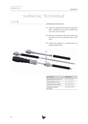### STEP **3**

#### SCREWDRIVER ASSEMBLING

- 01. Insert the screwdriver tube into the screwdriver sleeve through the hole with the LASER mark "UP", until a "click" is heard.
- 02. Select the screwdriver shaft PS and slide it into the distal end of the screwdriver tube until it clicks.
- 03. Connect the assembly to a handle option, e.g. straight handle ratchet.



| <b>INSTRUMENT</b>                 | <b>REFERENCE</b> |
|-----------------------------------|------------------|
| SCREWDRIVER SHAFT PS              | FLI-IN 01 03-N   |
| <b>SCREWDRIVER TUBE</b>           | ELL-IN 21 03-N   |
| <b>SCREWDRIVER SLEEVE</b>         | FLI-IN 2003-N    |
| STRAIGHT HANDLE<br><b>RATCHET</b> | HAN-SI RA ST-N   |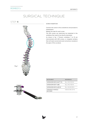### STEP **4**



### SCREW INSERTION

Connect the screw to the screwdriver and proceed to implantation.

Repeat this step for each screw.

The 25D screws can selectively be implanted in the vertebrae that need to be directly derotated.

As shown in fig. 1, Thoracic vertebrae 7 to 10 are instrumented with 25D screws, i.e. targeted vertebra that will need coronal and axial corrections, located at the apex of the curvature.





| <b>INSTRUMENT</b>          | <b>REFERENCE</b> |
|----------------------------|------------------|
| SCREWDRIVER SHAFT PS       | FI I -IN 01 03-N |
| <b>SCREWDRIVER TUBE</b>    | FLL-IN 21 03-N   |
| SCREWDRIVER SLEEVE         | FLL-IN 20 03-N   |
| STRAIGHT HANDLE<br>RATCHET | HAN-SI RA ST-N   |
|                            |                  |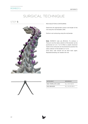### STEP **5**



#### ROD SELECTION & CONTOURING

Determine the appropriate contour and length of the rod using the rod template L500.

Perform rod contouring using the rod bender.

**Note:** ROMEO®2 rods are Ø5.4mm. To contour a Titanium rod, the radius selector of the bender can be positioned on 5, 6, 7 or 8. When a cobalt chromium needs to be contoured, we recommend to position the radius selector of the bender on 7 or 8.

Once bent, rods should not be bent back again. Repeated bending can weaken the rod.



| <b>INSTRUMENT</b> | <b>REFERENCE</b> |
|-------------------|------------------|
| ROD TEMPLATE L500 | FLI-IN 01 28-N   |
| ROD BENDER        | FLI-IN 00 09-N   |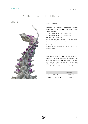### STEP **6**



#### ROD PLACEMENT

According to surgeon's philosophy, different approaches can be considered for rod placement prior to derotation.

One rod only in the concavity of the curve

One rod only in the convexity of the curve

Two rods at the same time

This surgical technique describes the approach based on one rod placed in the concavity.

Start at the lower levels of the construct. Implant holder and/or derotation forceps can be used for rod insertion.

**Note:** Spineart provides rods with different mechanical properties: Titanium and cobalt chromium rods, both in Ø5.4mm. Cobalt Chromium rods present a stiffness value that is twice higher than the Titanium rods. When used, Cobalt Chromium rods reduce the loss of correction after derotation of the scoliotic spine.

| <b>INSTRUMENT</b>  | <b>REFERENCE</b>     |
|--------------------|----------------------|
| IMPI ANT HOI DER   | $F11 - IN 01 04 - N$ |
| DEROTATION FORCEPS | FLI-IN 0118-N        |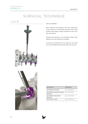### STEP **7**



#### ROD PLACEMENT

Start inserting the setscrews from the caudal part of the construct. The setscrews should not be firmly locked at this stage, to allow movement of the rod in the screw heads.

Connect the setscrew to the setscrew holder. three different setscrew holders are available.

To ensure the placement of the setscrew and avoid any cross threading, the setscrew tube can be used.

| <b>INSTRUMENT</b>                                  | <b>REFERENCE</b> |
|----------------------------------------------------|------------------|
| SETSCREW HOLDER                                    | FI I -IN 01 10-N |
| SETSCREW HOLDER DOUBLE FILL-IN 02 10-N<br>Optional |                  |
| SETSCREW HOLDER W<br>Optional                      | FI I -IN 03 10-N |
| SETSCREW TUBE                                      | FI I -IN 0115-N  |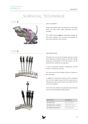### STEP **8**



#### ROD PLACEMENT

Before proceeding with rod placement in the upper levels, the 25D screw head orientation must be checked.

The LASER marking **must** be orientated medially for the screws seating in the concavity, and laterally for the screws seating in the convexity.

### STEP **9**





#### ROD PERSUASION

Persuade the rod into the implant head by turning the handle part of the QR reducer or the QR T handle. Sequential manipulation of the QR reducer can be performed for multilevel rod reduction.

In case of particular anatomy configuration, the QR reducer T handle can be used.

The rod must be loose enough to allow its rotation in the next steps.

In addition to easing the insertion of the contoured rod into the implant heads, the 25D screws help in reducing the stress that could be transmitted from the rod to the vertebrae.

If the rod is fully seated in the implant heads, setscrew can be inserted through the QR reducer.

| <b>INSTRUMENT</b>          | <b>REFERENCE</b>     |
|----------------------------|----------------------|
| <b>QR REDUCER</b>          | $F11 - IN 10 34 - N$ |
| <b>QR REDUCER T HANDLE</b> | HAN-SS TY 14-N       |
| SETSCREW HOLDER W          | FI I -IN 03 10-N     |

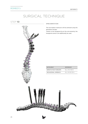STEP **10**

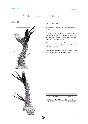STEP **11**



### SPINE DEROTATION

The rod is axially rotated at 90° to restore the sagittal plane balance.

Once the rotation of the rod is complete, release the derotation forceps. Firmly tighten the setscrews. You may use the counter torque and the setscrew tightener connected to a T-Handle.

Start at the caudal part of the construct and progressively advance to the vertebrae instrumented with the 25D screws.

Do not tighten the setscrews of the 25D screws before any vertebral body derotation maneuvers.

| <b>INSTRUMENT</b>     | <b>REFERENCE</b> |
|-----------------------|------------------|
| <b>COUNTER TORQUE</b> | FI I -IN 01 11-N |
| SETSCREW TIGHTENER    | FLI-IN 04 06-N   |
| T-HANDI F             | HAN-SI MD TF-N   |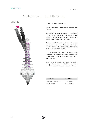STEP **12**



### VERTEBRAL BODY DEROTATION

Further correction can be achieved via vertebral body derotation.

The vertebral body derotation maneuver is performed by applying a cantilever force on the QR reducer placed on the 25D screws. The force will be directly transmitted to make the vertebrae rotate.

Continue vertebral body derotation until neutral position is reached. Increase the setscrew tightening. Repeat sequentially this process along the spine on each 25D instrumented vertebra.

Variation: to maintain the bone-screw interface during maneuvers, the cantilever force can be shared on both pedicles by connecting a second QR reducer on the same vertebra.

Variation: loss of rotational correction due to spine spring back can be minimized by following the steps described above after insertion of the second rod.

| <b>INSTRUMENT</b>  | <b>REFERENCE</b>     |
|--------------------|----------------------|
| DEROTATION FORCEPS | FLI-IN 0118-N        |
| <b>QR REDUCER</b>  | $F11 - IN 10 34 - N$ |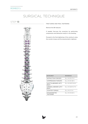### STEP **13**



### FINE-TUNING AND FINAL TIGHTENING

Remove the QR reducers.

If needed, fine-tune the correction by performing compression and distraction and/or in situ bending.

Proceed to the final tightening of the construct using the counter torque and the dynamometric tightener.

| <b>INSTRUMENT</b>                       | <b>REFERENCE</b>  |
|-----------------------------------------|-------------------|
| DISTRACTION FORCEPS                     | FLI-IN 00 07-N    |
| <b>COMPRESSION FORCEPS</b>              | FI I -IN 00 08-N  |
| SAGITTALBENDER LEFT/<br>RIGHT           | ELL-IN 00/01 26-N |
| CORONAL BENDER LEFT/<br><b>RIGHT</b>    | ELL-IN 00/01 27-N |
| <b>COUNTER TORQUE</b>                   | FI I-IN 01 11-N   |
| <b>DYNAMOMETRIC</b><br><b>TIGHTENER</b> | FLL-IN 03 06-N    |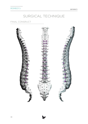### FINAL CONSRUCT